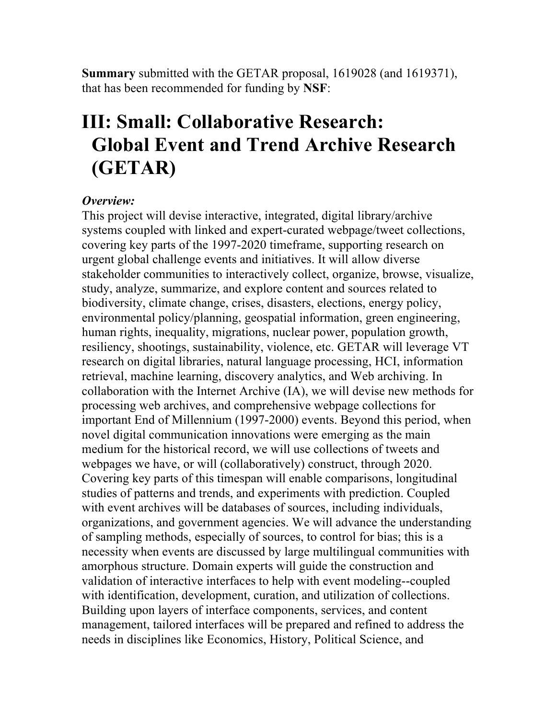**Summary** submitted with the GETAR proposal, 1619028 (and 1619371), that has been recommended for funding by **NSF**:

## **III: Small: Collaborative Research: Global Event and Trend Archive Research (GETAR)**

## *Overview:*

This project will devise interactive, integrated, digital library/archive systems coupled with linked and expert-curated webpage/tweet collections, covering key parts of the 1997-2020 timeframe, supporting research on urgent global challenge events and initiatives. It will allow diverse stakeholder communities to interactively collect, organize, browse, visualize, study, analyze, summarize, and explore content and sources related to biodiversity, climate change, crises, disasters, elections, energy policy, environmental policy/planning, geospatial information, green engineering, human rights, inequality, migrations, nuclear power, population growth, resiliency, shootings, sustainability, violence, etc. GETAR will leverage VT research on digital libraries, natural language processing, HCI, information retrieval, machine learning, discovery analytics, and Web archiving. In collaboration with the Internet Archive (IA), we will devise new methods for processing web archives, and comprehensive webpage collections for important End of Millennium (1997-2000) events. Beyond this period, when novel digital communication innovations were emerging as the main medium for the historical record, we will use collections of tweets and webpages we have, or will (collaboratively) construct, through 2020. Covering key parts of this timespan will enable comparisons, longitudinal studies of patterns and trends, and experiments with prediction. Coupled with event archives will be databases of sources, including individuals, organizations, and government agencies. We will advance the understanding of sampling methods, especially of sources, to control for bias; this is a necessity when events are discussed by large multilingual communities with amorphous structure. Domain experts will guide the construction and validation of interactive interfaces to help with event modeling--coupled with identification, development, curation, and utilization of collections. Building upon layers of interface components, services, and content management, tailored interfaces will be prepared and refined to address the needs in disciplines like Economics, History, Political Science, and